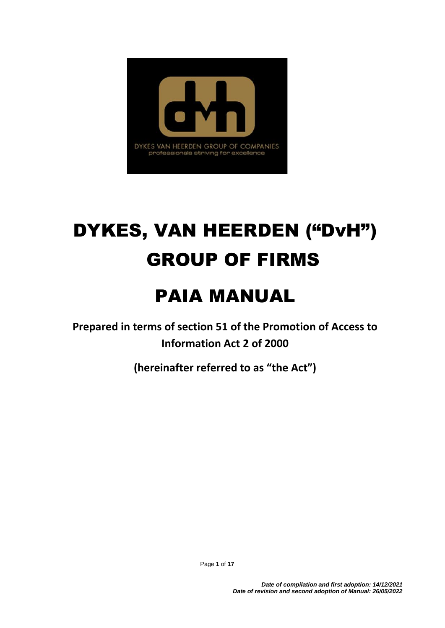

# DYKES, VAN HEERDEN ("DvH") GROUP OF FIRMS

## PAIA MANUAL

**Prepared in terms of section 51 of the Promotion of Access to Information Act 2 of 2000**

**(hereinafter referred to as "the Act")**

Page **1** of **17**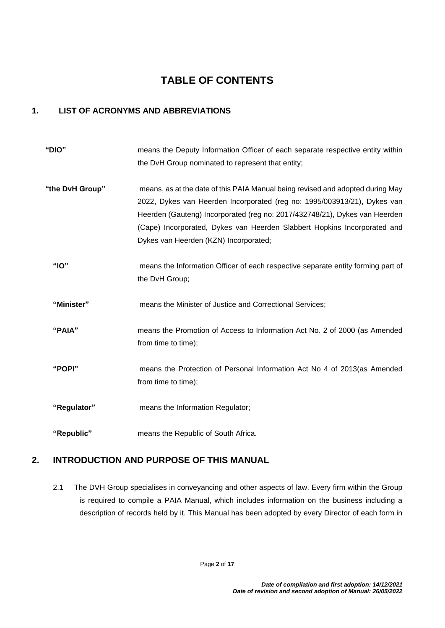## **TABLE OF CONTENTS**

#### **1. LIST OF ACRONYMS AND ABBREVIATIONS**

| "DIO"           | means the Deputy Information Officer of each separate respective entity within<br>the DvH Group nominated to represent that entity;                                                                                                                                                                                                                           |
|-----------------|---------------------------------------------------------------------------------------------------------------------------------------------------------------------------------------------------------------------------------------------------------------------------------------------------------------------------------------------------------------|
| "the DvH Group" | means, as at the date of this PAIA Manual being revised and adopted during May<br>2022, Dykes van Heerden Incorporated (reg no: 1995/003913/21), Dykes van<br>Heerden (Gauteng) Incorporated (reg no: 2017/432748/21), Dykes van Heerden<br>(Cape) Incorporated, Dykes van Heerden Slabbert Hopkins Incorporated and<br>Dykes van Heerden (KZN) Incorporated; |
| " $IO"$         | means the Information Officer of each respective separate entity forming part of<br>the DvH Group;                                                                                                                                                                                                                                                            |
| "Minister"      | means the Minister of Justice and Correctional Services;                                                                                                                                                                                                                                                                                                      |
| "PAIA"          | means the Promotion of Access to Information Act No. 2 of 2000 (as Amended<br>from time to time);                                                                                                                                                                                                                                                             |
| "POPI"          | means the Protection of Personal Information Act No 4 of 2013(as Amended<br>from time to time);                                                                                                                                                                                                                                                               |
| "Regulator"     | means the Information Regulator;                                                                                                                                                                                                                                                                                                                              |
| "Republic"      | means the Republic of South Africa.                                                                                                                                                                                                                                                                                                                           |

#### **2. INTRODUCTION AND PURPOSE OF THIS MANUAL**

2.1 The DVH Group specialises in conveyancing and other aspects of law. Every firm within the Group is required to compile a PAIA Manual, which includes information on the business including a description of records held by it. This Manual has been adopted by every Director of each form in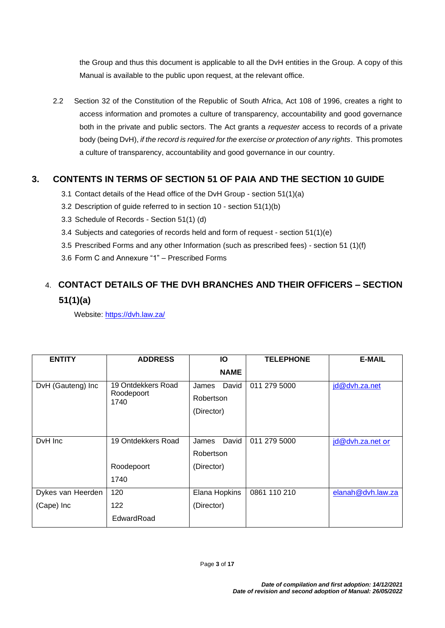the Group and thus this document is applicable to all the DvH entities in the Group. A copy of this Manual is available to the public upon request, at the relevant office.

2.2 Section 32 of the Constitution of the Republic of South Africa, Act 108 of 1996, creates a right to access information and promotes a culture of transparency, accountability and good governance both in the private and public sectors. The Act grants a *requester* access to records of a private body (being DvH), *if the record is required for the exercise or protection of any rights*. This promotes a culture of transparency, accountability and good governance in our country.

#### **3. CONTENTS IN TERMS OF SECTION 51 OF PAIA AND THE SECTION 10 GUIDE**

- 3.1 Contact details of the Head office of the DvH Group section 51(1)(a)
- 3.2 Description of guide referred to in section 10 section 51(1)(b)
- 3.3 Schedule of Records Section 51(1) (d)
- 3.4 Subjects and categories of records held and form of request section 51(1)(e)
- 3.5 Prescribed Forms and any other Information (such as prescribed fees) section 51 (1)(f)
- 3.6 Form C and Annexure "1" Prescribed Forms

## 4. **CONTACT DETAILS OF THE DVH BRANCHES AND THEIR OFFICERS – SECTION 51(1)(a)**

Website:<https://dvh.law.za/>

| <b>ENTITY</b>     | <b>ADDRESS</b>                           | Ю                                         | <b>TELEPHONE</b> | <b>E-MAIL</b>     |
|-------------------|------------------------------------------|-------------------------------------------|------------------|-------------------|
|                   |                                          | <b>NAME</b>                               |                  |                   |
| DvH (Gauteng) Inc | 19 Ontdekkers Road<br>Roodepoort<br>1740 | David<br>James<br>Robertson<br>(Director) | 011 279 5000     | jd@dvh.za.net     |
| DvH Inc           | 19 Ontdekkers Road                       | David<br>James                            | 011 279 5000     | id@dvh.za.net or  |
|                   |                                          | Robertson                                 |                  |                   |
|                   | Roodepoort                               | (Director)                                |                  |                   |
|                   | 1740                                     |                                           |                  |                   |
| Dykes van Heerden | 120                                      | Elana Hopkins                             | 0861 110 210     | elanah@dvh.law.za |
| (Cape) Inc        | 122                                      | (Director)                                |                  |                   |
|                   | EdwardRoad                               |                                           |                  |                   |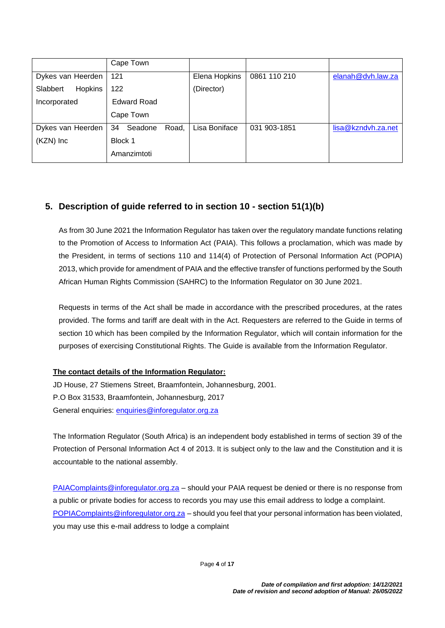|                            | Cape Town              |               |              |                    |
|----------------------------|------------------------|---------------|--------------|--------------------|
| Dykes van Heerden          | 121                    | Elena Hopkins | 0861 110 210 | elanah@dvh.law.za  |
| <b>Hopkins</b><br>Slabbert | 122                    | (Director)    |              |                    |
| Incorporated               | <b>Edward Road</b>     |               |              |                    |
|                            | Cape Town              |               |              |                    |
| Dykes van Heerden          | Road,<br>Seadone<br>34 | Lisa Boniface | 031 903-1851 | lisa@kzndvh.za.net |
| (KZN) Inc                  | Block 1                |               |              |                    |
|                            | Amanzimtoti            |               |              |                    |

#### **5. Description of guide referred to in section 10 - section 51(1)(b)**

As from 30 June 2021 the Information Regulator has taken over the regulatory mandate functions relating to the Promotion of Access to Information Act (PAIA). This follows a proclamation, which was made by the President, in terms of sections 110 and 114(4) of Protection of Personal Information Act (POPIA) 2013, which provide for amendment of PAIA and the effective transfer of functions performed by the South African Human Rights Commission (SAHRC) to the Information Regulator on 30 June 2021.

Requests in terms of the Act shall be made in accordance with the prescribed procedures, at the rates provided. The forms and tariff are dealt with in the Act. Requesters are referred to the Guide in terms of section 10 which has been compiled by the Information Regulator, which will contain information for the purposes of exercising Constitutional Rights. The Guide is available from the Information Regulator.

#### **The contact details of the Information Regulator:**

JD House, 27 Stiemens Street, Braamfontein, Johannesburg, 2001. P.O Box 31533, Braamfontein, Johannesburg, 2017 General enquiries: [enquiries@inforegulator.org.za](mailto:enquiries@inforegulator.org.za)

The Information Regulator (South Africa) is an independent body established in terms of section 39 of the Protection of Personal Information Act 4 of 2013. It is subject only to the law and the Constitution and it is accountable to the national assembly.

[PAIAComplaints@inforegulator.org.za](mailto:PAIAComplaints@inforegulator.org.za) – should your PAIA request be denied or there is no response from a public or private bodies for access to records you may use this email address to lodge a complaint. [POPIAComplaints@inforegulator.org.za](mailto:POPIAComplaints@inforegulator.org.za) - should you feel that your personal information has been violated, you may use this e-mail address to lodge a complaint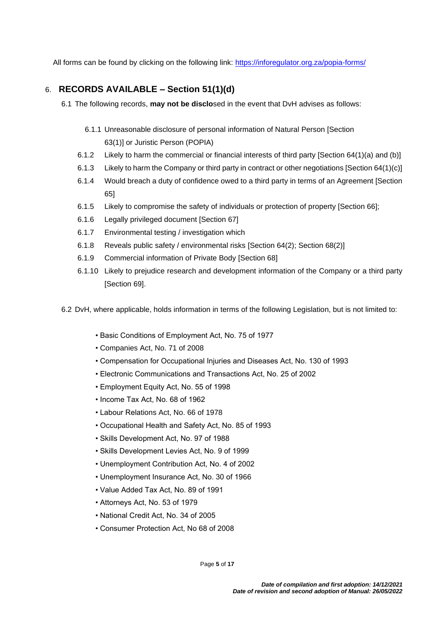All forms can be found by clicking on the following link:<https://inforegulator.org.za/popia-forms/>

#### 6. **RECORDS AVAILABLE – Section 51(1)(d)**

- 6.1 The following records, **may not be disclo**sed in the event that DvH advises as follows:
	- 6.1.1 Unreasonable disclosure of personal information of Natural Person [Section 63(1)] or Juristic Person (POPIA)
	- 6.1.2 Likely to harm the commercial or financial interests of third party [Section 64(1)(a) and (b)]
	- 6.1.3 Likely to harm the Company or third party in contract or other negotiations [Section 64(1)(c)]
	- 6.1.4 Would breach a duty of confidence owed to a third party in terms of an Agreement [Section 65]
	- 6.1.5 Likely to compromise the safety of individuals or protection of property [Section 66];
	- 6.1.6 Legally privileged document [Section 67]
	- 6.1.7 Environmental testing / investigation which
	- 6.1.8 Reveals public safety / environmental risks [Section 64(2); Section 68(2)]
	- 6.1.9 Commercial information of Private Body [Section 68]
	- 6.1.10 Likely to prejudice research and development information of the Company or a third party [Section 69].
- 6.2 DvH, where applicable, holds information in terms of the following Legislation, but is not limited to:
	- Basic Conditions of Employment Act, No. 75 of 1977
	- Companies Act, No. 71 of 2008
	- Compensation for Occupational Injuries and Diseases Act, No. 130 of 1993
	- Electronic Communications and Transactions Act, No. 25 of 2002
	- Employment Equity Act, No. 55 of 1998
	- Income Tax Act, No. 68 of 1962
	- Labour Relations Act, No. 66 of 1978
	- Occupational Health and Safety Act, No. 85 of 1993
	- Skills Development Act, No. 97 of 1988
	- Skills Development Levies Act, No. 9 of 1999
	- Unemployment Contribution Act, No. 4 of 2002
	- Unemployment Insurance Act, No. 30 of 1966
	- Value Added Tax Act, No. 89 of 1991
	- Attorneys Act, No. 53 of 1979
	- National Credit Act, No. 34 of 2005
	- Consumer Protection Act, No 68 of 2008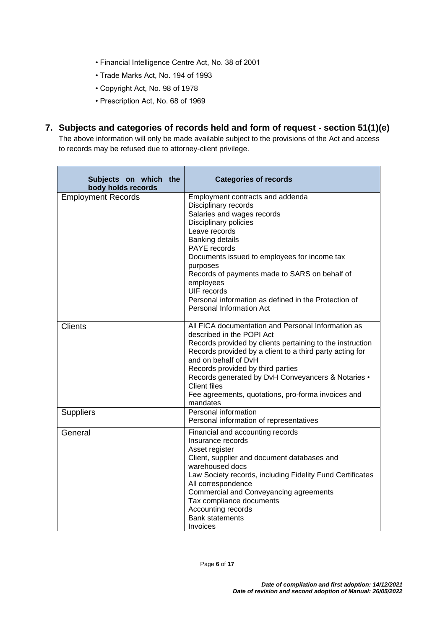- Financial Intelligence Centre Act, No. 38 of 2001
- Trade Marks Act, No. 194 of 1993
- Copyright Act, No. 98 of 1978
- Prescription Act, No. 68 of 1969

#### **7. Subjects and categories of records held and form of request - section 51(1)(e)**

The above information will only be made available subject to the provisions of the Act and access to records may be refused due to attorney-client privilege.

| Subjects on which the<br>body holds records | <b>Categories of records</b>                                                                                                                                                                                                                                                                                                                                                                                         |
|---------------------------------------------|----------------------------------------------------------------------------------------------------------------------------------------------------------------------------------------------------------------------------------------------------------------------------------------------------------------------------------------------------------------------------------------------------------------------|
| <b>Employment Records</b>                   | Employment contracts and addenda<br>Disciplinary records<br>Salaries and wages records<br>Disciplinary policies<br>Leave records<br><b>Banking details</b><br><b>PAYE</b> records<br>Documents issued to employees for income tax<br>purposes<br>Records of payments made to SARS on behalf of<br>employees<br>UIF records<br>Personal information as defined in the Protection of<br>Personal Information Act       |
| <b>Clients</b>                              | All FICA documentation and Personal Information as<br>described in the POPI Act<br>Records provided by clients pertaining to the instruction<br>Records provided by a client to a third party acting for<br>and on behalf of DvH<br>Records provided by third parties<br>Records generated by DvH Conveyancers & Notaries •<br><b>Client files</b><br>Fee agreements, quotations, pro-forma invoices and<br>mandates |
| <b>Suppliers</b>                            | Personal information<br>Personal information of representatives                                                                                                                                                                                                                                                                                                                                                      |
| General                                     | Financial and accounting records<br>Insurance records<br>Asset register<br>Client, supplier and document databases and<br>warehoused docs<br>Law Society records, including Fidelity Fund Certificates<br>All correspondence<br>Commercial and Conveyancing agreements<br>Tax compliance documents<br>Accounting records<br><b>Bank statements</b><br>Invoices                                                       |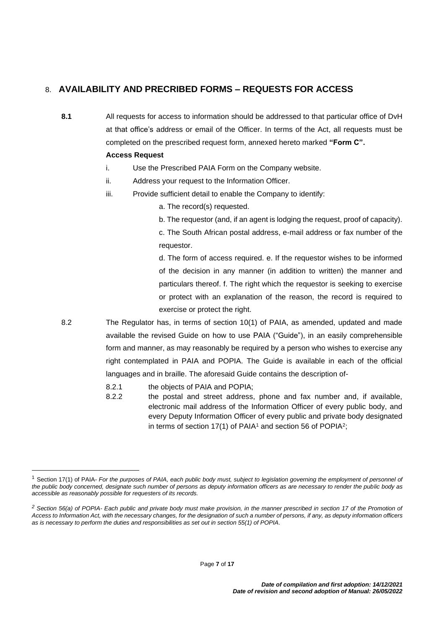#### 8. **AVAILABILITY AND PRECRIBED FORMS – REQUESTS FOR ACCESS**

**8.1** All requests for access to information should be addressed to that particular office of DvH at that office's address or email of the Officer. In terms of the Act, all requests must be completed on the prescribed request form, annexed hereto marked **"Form C".**

#### **Access Request**

- i. Use the Prescribed PAIA Form on the Company website.
- ii. Address your request to the Information Officer.
- iii. Provide sufficient detail to enable the Company to identify:
	- a. The record(s) requested.
	- b. The requestor (and, if an agent is lodging the request, proof of capacity).

c. The South African postal address, e-mail address or fax number of the requestor.

d. The form of access required. e. If the requestor wishes to be informed of the decision in any manner (in addition to written) the manner and particulars thereof. f. The right which the requestor is seeking to exercise or protect with an explanation of the reason, the record is required to exercise or protect the right.

- 8.2 The Regulator has, in terms of section 10(1) of PAIA, as amended, updated and made available the revised Guide on how to use PAIA ("Guide"), in an easily comprehensible form and manner, as may reasonably be required by a person who wishes to exercise any right contemplated in PAIA and POPIA. The Guide is available in each of the official languages and in braille. The aforesaid Guide contains the description of-
	- 8.2.1 the objects of PAIA and POPIA;
	- 8.2.2 the postal and street address, phone and fax number and, if available, electronic mail address of the Information Officer of every public body, and every Deputy Information Officer of every public and private body designated in terms of section 17(1) of PAIA<sup>1</sup> and section 56 of POPIA<sup>2</sup>;

<sup>&</sup>lt;sup>1</sup> Section 17(1) of PAIA- *For the purposes of PAIA, each public body must, subject to legislation governing the employment of personnel of the public body concerned, designate such number of persons as deputy information officers as are necessary to render the public body as accessible as reasonably possible for requesters of its records.*

*<sup>2</sup> Section 56(a) of POPIA- Each public and private body must make provision, in the manner prescribed in section 17 of the Promotion of Access to Information Act, with the necessary changes, for the designation of such a number of persons, if any, as deputy information officers as is necessary to perform the duties and responsibilities as set out in section 55(1) of POPIA.*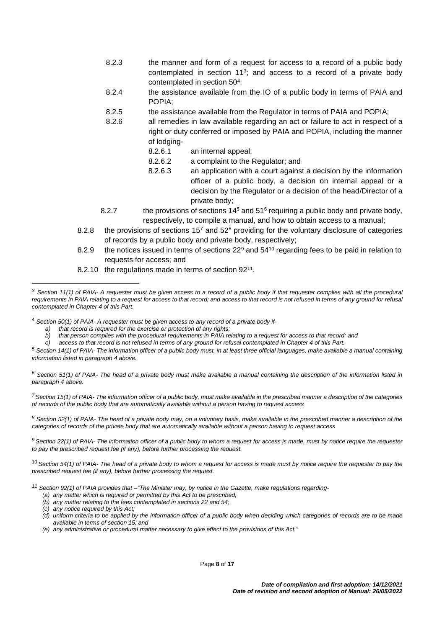- 8.2.3 the manner and form of a request for access to a record of a public body contemplated in section  $11<sup>3</sup>$ ; and access to a record of a private body contemplated in section 50<sup>4</sup>;
- 8.2.4 the assistance available from the IO of a public body in terms of PAIA and POPIA;
- 8.2.5 the assistance available from the Regulator in terms of PAIA and POPIA;
- 8.2.6 all remedies in law available regarding an act or failure to act in respect of a right or duty conferred or imposed by PAIA and POPIA, including the manner of lodging-
	- 8.2.6.1 an internal appeal;
	- 8.2.6.2 a complaint to the Regulator; and
	- 8.2.6.3 an application with a court against a decision by the information officer of a public body, a decision on internal appeal or a decision by the Regulator or a decision of the head/Director of a private body;
- 8.2.7 the provisions of sections  $14<sup>5</sup>$  and  $51<sup>6</sup>$  requiring a public body and private body, respectively, to compile a manual, and how to obtain access to a manual;
- 8.2.8 the provisions of sections  $15<sup>7</sup>$  and  $52<sup>8</sup>$  providing for the voluntary disclosure of categories of records by a public body and private body, respectively;
- 8.2.9 the notices issued in terms of sections  $22<sup>9</sup>$  and  $54<sup>10</sup>$  regarding fees to be paid in relation to requests for access; and
- 8.2.10 the regulations made in terms of section 92<sup>11</sup>.

<sup>4</sup> *Section 50(1) of PAIA- A requester must be given access to any record of a private body if-*

*a) that record is required for the exercise or protection of any rights;*

- *b) that person complies with the procedural requirements in PAIA relating to a request for access to that record; and*
- *c) access to that record is not refused in terms of any ground for refusal contemplated in Chapter 4 of this Part.*

*<sup>5</sup> Section 14(1) of PAIA- The information officer of a public body must, in at least three official languages, make available a manual containing information listed in paragraph 4 above.*

*<sup>6</sup> Section 51(1) of PAIA- The head of a private body must make available a manual containing the description of the information listed in paragraph 4 above.*

*<sup>7</sup>Section 15(1) of PAIA- The information officer of a public body, must make available in the prescribed manner a description of the categories of records of the public body that are automatically available without a person having to request access*

*<sup>8</sup> Section 52(1) of PAIA- The head of a private body may, on a voluntary basis, make available in the prescribed manner a description of the categories of records of the private body that are automatically available without a person having to request access*

*<sup>9</sup> Section 22(1) of PAIA- The information officer of a public body to whom a request for access is made, must by notice require the requester to pay the prescribed request fee (if any), before further processing the request.*

<sup>10</sup> *Section 54(1) of PAIA- The head of a private body to whom a request for access is made must by notice require the requester to pay the prescribed request fee (if any), before further processing the request.*

*<sup>11</sup> Section 92(1) of PAIA provides that –"The Minister may, by notice in the Gazette, make regulations regarding-*

- *(a) any matter which is required or permitted by this Act to be prescribed;*
- *(b) any matter relating to the fees contemplated in sections 22 and 54;*
- *(c) any notice required by this Act;*
- *(d) uniform criteria to be applied by the information officer of a public body when deciding which categories of records are to be made available in terms of section 15; and*
- *(e) any administrative or procedural matter necessary to give effect to the provisions of this Act."*

*<sup>3</sup> Section 11(1) of PAIA- A requester must be given access to a record of a public body if that requester complies with all the procedural requirements in PAIA relating to a request for access to that record; and access to that record is not refused in terms of any ground for refusal contemplated in Chapter 4 of this Part.*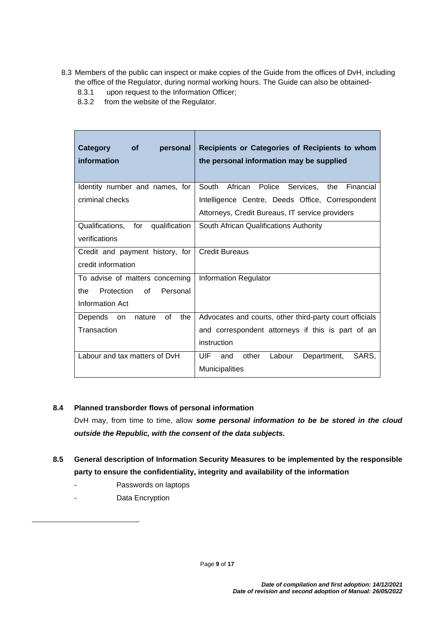- 8.3 Members of the public can inspect or make copies of the Guide from the offices of DvH, including the office of the Regulator, during normal working hours. The Guide can also be obtained-
	- 8.3.1 upon request to the Information Officer;
	- 8.3.2 from the website of the Regulator.

| Category<br><b>of</b><br>personal<br>information | Recipients or Categories of Recipients to whom<br>the personal information may be supplied |  |  |  |  |
|--------------------------------------------------|--------------------------------------------------------------------------------------------|--|--|--|--|
| Identity number and names, for                   | South African Police<br>Services,<br>Financial<br>the                                      |  |  |  |  |
| criminal checks                                  | Intelligence Centre, Deeds Office, Correspondent                                           |  |  |  |  |
|                                                  | Attorneys, Credit Bureaus, IT service providers                                            |  |  |  |  |
| qualification<br>Qualifications,<br>for          | South African Qualifications Authority                                                     |  |  |  |  |
| verifications                                    |                                                                                            |  |  |  |  |
| Credit and payment history, for                  | <b>Credit Bureaus</b>                                                                      |  |  |  |  |
| credit information                               |                                                                                            |  |  |  |  |
| To advise of matters concerning                  | <b>Information Regulator</b>                                                               |  |  |  |  |
| Protection<br>of<br>Personal<br>the              |                                                                                            |  |  |  |  |
| Information Act                                  |                                                                                            |  |  |  |  |
| 0f<br>Depends on<br>the<br>nature                | Advocates and courts, other third-party court officials                                    |  |  |  |  |
| Transaction                                      | and correspondent attorneys if this is part of an                                          |  |  |  |  |
|                                                  | instruction                                                                                |  |  |  |  |
| Labour and tax matters of DvH                    | UIF<br>other<br>Labour<br>SARS.<br>Department,<br>and                                      |  |  |  |  |
|                                                  | <b>Municipalities</b>                                                                      |  |  |  |  |

#### **8.4 Planned transborder flows of personal information**

DvH may, from time to time, allow *some personal information to be be stored in the cloud outside the Republic, with the consent of the data subjects.* 

- **8.5 General description of Information Security Measures to be implemented by the responsible party to ensure the confidentiality, integrity and availability of the information**
	- Passwords on laptops
	- Data Encryption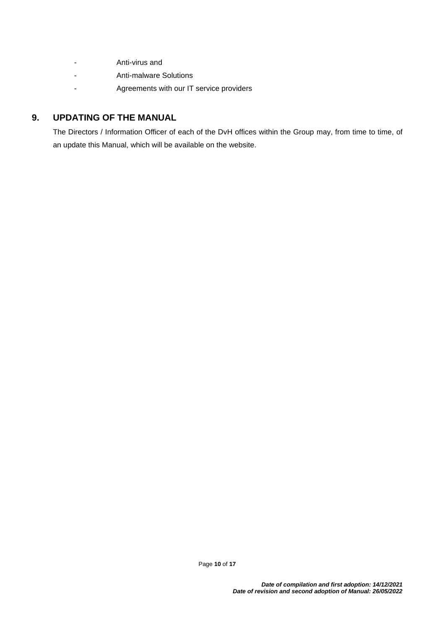- Anti-virus and
- Anti-malware Solutions
- Agreements with our IT service providers

#### **9. UPDATING OF THE MANUAL**

The Directors / Information Officer of each of the DvH offices within the Group may, from time to time, of an update this Manual, which will be available on the website.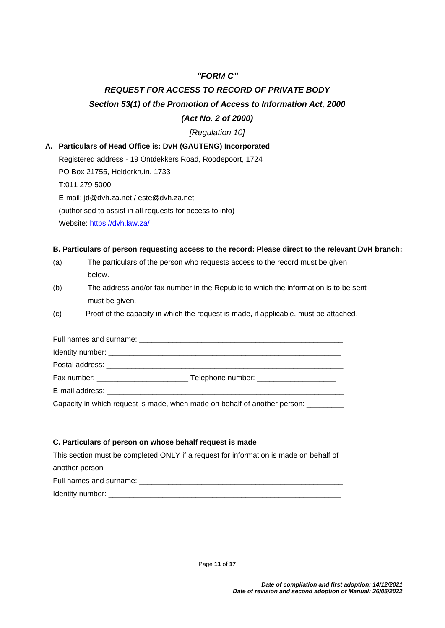#### *"FORM C"*

### *REQUEST FOR ACCESS TO RECORD OF PRIVATE BODY Section 53(1) of the Promotion of Access to Information Act, 2000*

#### *(Act No. 2 of 2000)*

#### *[Regulation 10]*

#### **A. Particulars of Head Office is: DvH (GAUTENG) Incorporated**

Registered address - 19 Ontdekkers Road, Roodepoort, 1724 PO Box 21755, Helderkruin, 1733 T:011 279 5000 E-mail: jd@dvh.za.net / este@dvh.za.net (authorised to assist in all requests for access to info) Website:<https://dvh.law.za/>

#### **B. Particulars of person requesting access to the record: Please direct to the relevant DvH branch:**

- (a) The particulars of the person who requests access to the record must be given below.
- (b) The address and/or fax number in the Republic to which the information is to be sent must be given.
- (c) Proof of the capacity in which the request is made, if applicable, must be attached.

| Fax number: _________________________________Telephone number: _________________   |
|------------------------------------------------------------------------------------|
|                                                                                    |
| Capacity in which request is made, when made on behalf of another person: ________ |
|                                                                                    |

#### **C. Particulars of person on whose behalf request is made**

This section must be completed ONLY if a request for information is made on behalf of another person Full names and surname:  $\Box$ 

Identity number: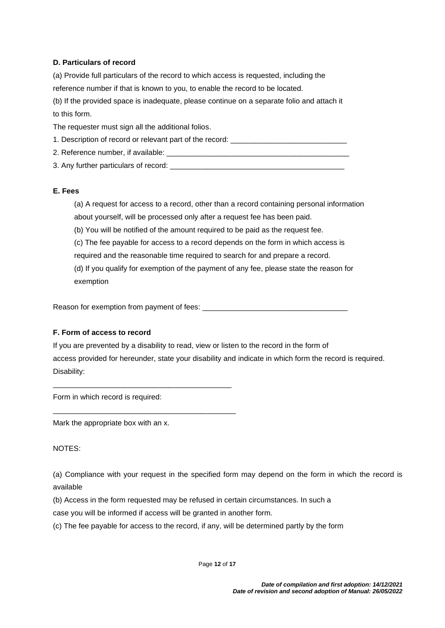#### **D. Particulars of record**

(a) Provide full particulars of the record to which access is requested, including the reference number if that is known to you, to enable the record to be located. (b) If the provided space is inadequate, please continue on a separate folio and attach it to this form. The requester must sign all the additional folios.

1. Description of record or relevant part of the record:

2. Reference number, if available:

3. Any further particulars of record:

#### **E. Fees**

(a) A request for access to a record, other than a record containing personal information about yourself, will be processed only after a request fee has been paid.

(b) You will be notified of the amount required to be paid as the request fee.

(c) The fee payable for access to a record depends on the form in which access is required and the reasonable time required to search for and prepare a record.

(d) If you qualify for exemption of the payment of any fee, please state the reason for exemption

Reason for exemption from payment of fees: \_\_\_\_\_\_

#### **F. Form of access to record**

If you are prevented by a disability to read, view or listen to the record in the form of access provided for hereunder, state your disability and indicate in which form the record is required. Disability:

Form in which record is required:

\_\_\_\_\_\_\_\_\_\_\_\_\_\_\_\_\_\_\_\_\_\_\_\_\_\_\_\_\_\_\_\_\_\_\_\_\_\_\_\_\_\_\_

\_\_\_\_\_\_\_\_\_\_\_\_\_\_\_\_\_\_\_\_\_\_\_\_\_\_\_\_\_\_\_\_\_\_\_\_\_\_\_\_\_\_\_\_

Mark the appropriate box with an x.

NOTES:

(a) Compliance with your request in the specified form may depend on the form in which the record is available

(b) Access in the form requested may be refused in certain circumstances. In such a

case you will be informed if access will be granted in another form.

(c) The fee payable for access to the record, if any, will be determined partly by the form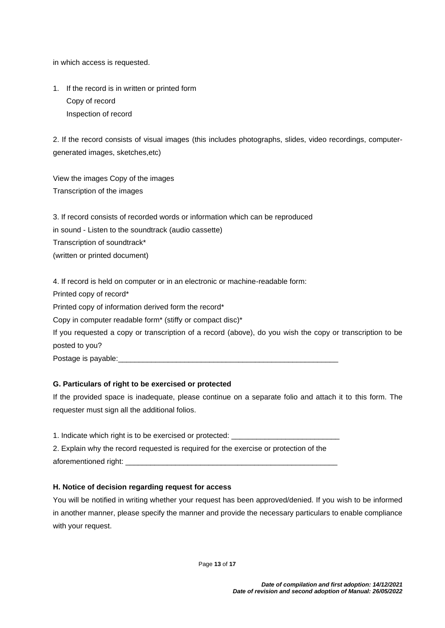in which access is requested.

1. If the record is in written or printed form Copy of record Inspection of record

2. If the record consists of visual images (this includes photographs, slides, video recordings, computergenerated images, sketches,etc)

View the images Copy of the images Transcription of the images

3. If record consists of recorded words or information which can be reproduced in sound - Listen to the soundtrack (audio cassette) Transcription of soundtrack\* (written or printed document)

4. If record is held on computer or in an electronic or machine-readable form:

Printed copy of record\*

Printed copy of information derived form the record\*

Copy in computer readable form\* (stiffy or compact disc)\*

If you requested a copy or transcription of a record (above), do you wish the copy or transcription to be posted to you?

Postage is payable:

#### **G. Particulars of right to be exercised or protected**

If the provided space is inadequate, please continue on a separate folio and attach it to this form. The requester must sign all the additional folios.

1. Indicate which right is to be exercised or protected: 2. Explain why the record requested is required for the exercise or protection of the aforementioned right:

#### **H. Notice of decision regarding request for access**

You will be notified in writing whether your request has been approved/denied. If you wish to be informed in another manner, please specify the manner and provide the necessary particulars to enable compliance with your request.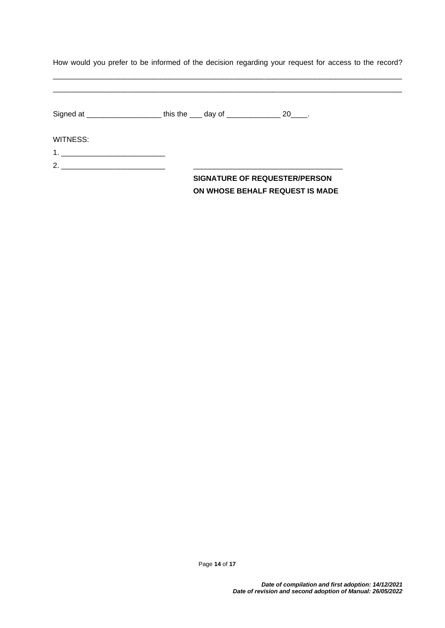| How would you prefer to be informed of the decision regarding your request for access to the record? |  |  |  |  |  |  |  |
|------------------------------------------------------------------------------------------------------|--|--|--|--|--|--|--|
|                                                                                                      |  |  |  |  |  |  |  |

\_\_\_\_\_\_\_\_\_\_\_\_\_\_\_\_\_\_\_\_\_\_\_\_\_\_\_\_\_\_\_\_\_\_\_\_\_\_\_\_\_\_\_\_\_\_\_\_\_\_\_\_\_\_\_\_\_\_\_\_\_\_\_\_\_\_\_\_\_\_\_\_\_\_\_\_\_\_\_\_\_\_\_\_

| WITNESS:           |                                      |  |
|--------------------|--------------------------------------|--|
|                    |                                      |  |
| 2. $\qquad \qquad$ |                                      |  |
|                    | <b>SIGNATURE OF REQUESTER/PERSON</b> |  |
|                    | ON WHOSE BEHALF REQUEST IS MADE      |  |

Page **14** of **17**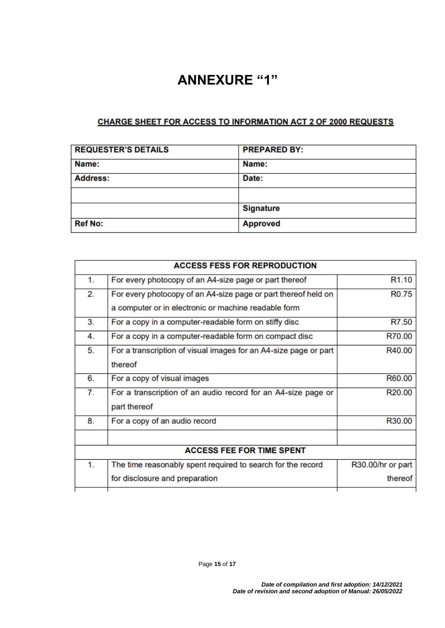## **ANNEXURE "1"**

#### CHARGE SHEET FOR ACCESS TO INFORMATION ACT 2 OF 2000 REQUESTS

| <b>REQUESTER'S DETAILS</b> | <b>PREPARED BY:</b> |
|----------------------------|---------------------|
| Name:                      | Name:               |
| <b>Address:</b>            | Date:               |
|                            |                     |
|                            | <b>Signature</b>    |
| <b>Ref No:</b>             | <b>Approved</b>     |

|                  | <b>ACCESS FESS FOR REPRODUCTION</b>                              |                   |  |  |  |
|------------------|------------------------------------------------------------------|-------------------|--|--|--|
| 1.               | For every photocopy of an A4-size page or part thereof           | R <sub>1.10</sub> |  |  |  |
| 2.               | For every photocopy of an A4-size page or part thereof held on   | R <sub>0.75</sub> |  |  |  |
|                  | a computer or in electronic or machine readable form             |                   |  |  |  |
| 3.               | For a copy in a computer-readable form on stiffy disc            | R7.50             |  |  |  |
| 4.               | For a copy in a computer-readable form on compact disc           | R70.00            |  |  |  |
| 5.               | For a transcription of visual images for an A4-size page or part | R40.00            |  |  |  |
|                  | thereof                                                          |                   |  |  |  |
| 6.               | For a copy of visual images                                      | R60.00            |  |  |  |
| $\overline{7}$ . | For a transcription of an audio record for an A4-size page or    | R20.00            |  |  |  |
|                  | part thereof                                                     |                   |  |  |  |
| 8.               | For a copy of an audio record                                    | R30.00            |  |  |  |
|                  |                                                                  |                   |  |  |  |
|                  | <b>ACCESS FEE FOR TIME SPENT</b>                                 |                   |  |  |  |
| 1.               | The time reasonably spent required to search for the record      | R30.00/hr or part |  |  |  |
|                  | for disclosure and preparation                                   | thereof           |  |  |  |
|                  |                                                                  |                   |  |  |  |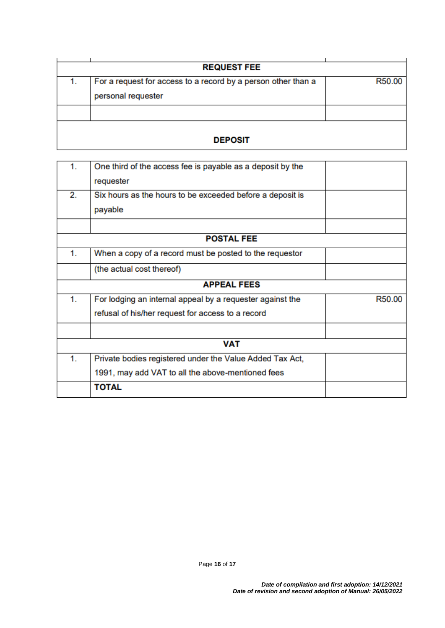|                | <b>REQUEST FEE</b>                                            |        |  |  |
|----------------|---------------------------------------------------------------|--------|--|--|
|                |                                                               |        |  |  |
|                | For a request for access to a record by a person other than a | R50.00 |  |  |
|                | personal requester                                            |        |  |  |
|                |                                                               |        |  |  |
| <b>DEPOSIT</b> |                                                               |        |  |  |

| 1. | One third of the access fee is payable as a deposit by the |        |
|----|------------------------------------------------------------|--------|
|    | requester                                                  |        |
| 2. | Six hours as the hours to be exceeded before a deposit is  |        |
|    | payable                                                    |        |
|    |                                                            |        |
|    | <b>POSTAL FEE</b>                                          |        |
| 1. | When a copy of a record must be posted to the requestor    |        |
|    | (the actual cost thereof)                                  |        |
|    | <b>APPEAL FEES</b>                                         |        |
| 1. | For lodging an internal appeal by a requester against the  | R50.00 |
|    | refusal of his/her request for access to a record          |        |
|    |                                                            |        |
|    | <b>VAT</b>                                                 |        |
| 1. | Private bodies registered under the Value Added Tax Act,   |        |
|    | 1991, may add VAT to all the above-mentioned fees          |        |
|    | <b>TOTAL</b>                                               |        |